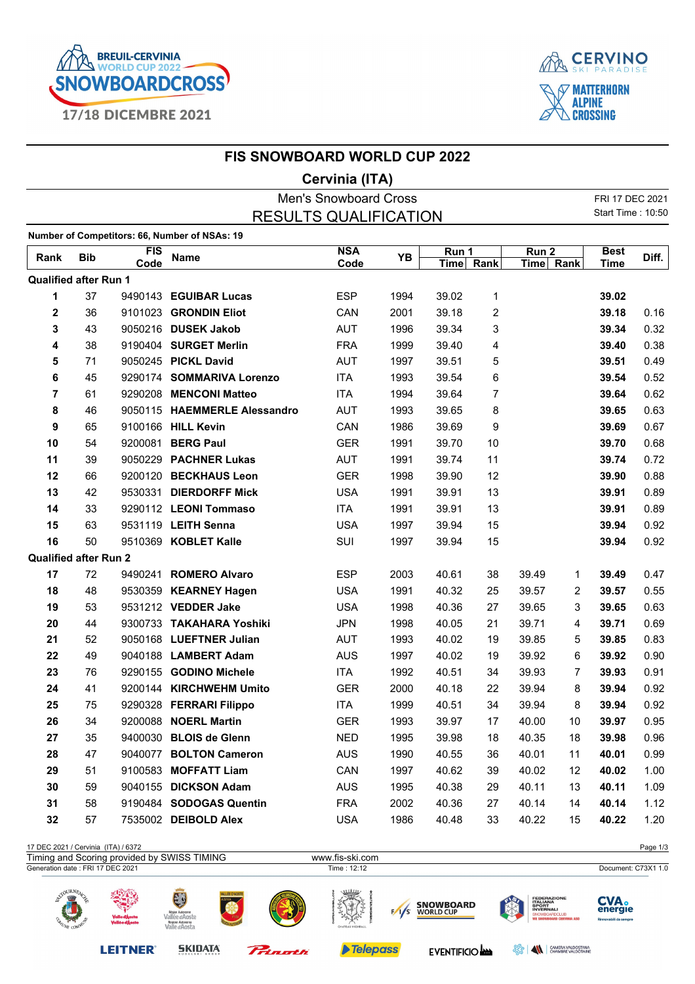



|                              |            |            | <b>FIS SNOWBOARD WORLD CUP 2022</b>           |                |      |             |                |                  |                |                   |       |  |
|------------------------------|------------|------------|-----------------------------------------------|----------------|------|-------------|----------------|------------------|----------------|-------------------|-------|--|
|                              |            |            |                                               | Cervinia (ITA) |      |             |                |                  |                |                   |       |  |
| <b>Men's Snowboard Cross</b> |            |            |                                               |                |      |             |                |                  |                | FRI 17 DEC 2021   |       |  |
|                              |            |            | <b>RESULTS QUALIFICATION</b>                  |                |      |             |                |                  |                | Start Time: 10:50 |       |  |
|                              |            |            | Number of Competitors: 66, Number of NSAs: 19 |                |      |             |                |                  |                |                   |       |  |
| Rank                         | <b>Bib</b> | <b>FIS</b> | <b>Name</b>                                   | <b>NSA</b>     | YB   | Run 1       |                | Run <sub>2</sub> |                | <b>Best</b>       | Diff. |  |
|                              |            | Code       |                                               | Code           |      | <b>Time</b> | Rank           | Time Rank        |                | <b>Time</b>       |       |  |
| <b>Qualified after Run 1</b> |            |            |                                               |                |      |             |                |                  |                |                   |       |  |
| 1                            | 37         |            | 9490143 EGUIBAR Lucas                         | <b>ESP</b>     | 1994 | 39.02       | 1              |                  |                | 39.02             |       |  |
| 2                            | 36         |            | 9101023 GRONDIN Eliot                         | CAN            | 2001 | 39.18       | 2              |                  |                | 39.18             | 0.16  |  |
| 3                            | 43         |            | 9050216 DUSEK Jakob                           | <b>AUT</b>     | 1996 | 39.34       | 3              |                  |                | 39.34             | 0.32  |  |
| 4                            | 38         |            | 9190404 SURGET Merlin                         | <b>FRA</b>     | 1999 | 39.40       | 4              |                  |                | 39.40             | 0.38  |  |
| 5                            | 71         |            | 9050245 PICKL David                           | <b>AUT</b>     | 1997 | 39.51       | 5              |                  |                | 39.51             | 0.49  |  |
| 6                            | 45         |            | 9290174 SOMMARIVA Lorenzo                     | <b>ITA</b>     | 1993 | 39.54       | 6              |                  |                | 39.54             | 0.52  |  |
| 7                            | 61         |            | 9290208 MENCONI Matteo                        | <b>ITA</b>     | 1994 | 39.64       | $\overline{7}$ |                  |                | 39.64             | 0.62  |  |
| 8                            | 46         |            | 9050115 HAEMMERLE Alessandro                  | <b>AUT</b>     | 1993 | 39.65       | 8              |                  |                | 39.65             | 0.63  |  |
| 9                            | 65         |            | 9100166 HILL Kevin                            | CAN            | 1986 | 39.69       | 9              |                  |                | 39.69             | 0.67  |  |
| 10                           | 54         | 9200081    | <b>BERG Paul</b>                              | <b>GER</b>     | 1991 | 39.70       | 10             |                  |                | 39.70             | 0.68  |  |
| 11                           | 39         |            | 9050229 PACHNER Lukas                         | <b>AUT</b>     | 1991 | 39.74       | 11             |                  |                | 39.74             | 0.72  |  |
| 12                           | 66         |            | 9200120 BECKHAUS Leon                         | <b>GER</b>     | 1998 | 39.90       | 12             |                  |                | 39.90             | 0.88  |  |
| 13                           | 42         | 9530331    | <b>DIERDORFF Mick</b>                         | <b>USA</b>     | 1991 | 39.91       | 13             |                  |                | 39.91             | 0.89  |  |
| 14                           | 33         |            | 9290112 LEONI Tommaso                         | <b>ITA</b>     | 1991 | 39.91       | 13             |                  |                | 39.91             | 0.89  |  |
| 15                           | 63         |            | 9531119 LEITH Senna                           | <b>USA</b>     | 1997 | 39.94       | 15             |                  |                | 39.94             | 0.92  |  |
| 16                           | 50         |            | 9510369 KOBLET Kalle                          | SUI            | 1997 | 39.94       | 15             |                  |                | 39.94             | 0.92  |  |
| <b>Qualified after Run 2</b> |            |            |                                               |                |      |             |                |                  |                |                   |       |  |
| 17                           | 72         |            | 9490241 ROMERO Alvaro                         | <b>ESP</b>     | 2003 | 40.61       | 38             | 39.49            | 1              | 39.49             | 0.47  |  |
| 18                           | 48         |            | 9530359 KEARNEY Hagen                         | <b>USA</b>     | 1991 | 40.32       | 25             | 39.57            | 2              | 39.57             | 0.55  |  |
| 19                           | 53         |            | 9531212 VEDDER Jake                           | <b>USA</b>     | 1998 | 40.36       | 27             | 39.65            | 3              | 39.65             | 0.63  |  |
| 20                           | 44         |            | 9300733 TAKAHARA Yoshiki                      | <b>JPN</b>     | 1998 | 40.05       | 21             | 39.71            | 4              | 39.71             | 0.69  |  |
| 21                           | 52         |            | 9050168 LUEFTNER Julian                       | <b>AUT</b>     | 1993 | 40.02       | 19             | 39.85            | 5              | 39.85             | 0.83  |  |
| 22                           | 49         |            | 9040188 LAMBERT Adam                          | <b>AUS</b>     | 1997 | 40.02       | 19             | 39.92            | 6              | 39.92             | 0.90  |  |
| 23                           | 76         |            | 9290155 GODINO Michele                        | <b>ITA</b>     | 1992 | 40.51       | 34             | 39.93            | $\overline{7}$ | 39.93             | 0.91  |  |
| 24                           | 41         |            | 9200144 KIRCHWEHM Umito                       | GER            | 2000 | 40.18       | 22             | 39.94            | 8              | 39.94             | 0.92  |  |
| 25                           | 75         |            | 9290328 FERRARI Filippo                       | ITA            | 1999 | 40.51       | 34             | 39.94            | 8              | 39.94             | 0.92  |  |
| 26                           | 34         |            | 9200088 NOERL Martin                          | <b>GER</b>     | 1993 | 39.97       | 17             | 40.00            | 10             | 39.97             | 0.95  |  |
| 27                           | 35         |            | 9400030 BLOIS de Glenn                        | <b>NED</b>     | 1995 | 39.98       | 18             | 40.35            | 18             | 39.98             | 0.96  |  |
| 28                           | 47         | 9040077    | <b>BOLTON Cameron</b>                         | <b>AUS</b>     | 1990 | 40.55       | 36             | 40.01            | 11             | 40.01             | 0.99  |  |
| 29                           | 51         |            | 9100583 MOFFATT Liam                          | CAN            | 1997 | 40.62       | 39             | 40.02            | 12             | 40.02             | 1.00  |  |
| 30                           | 59         |            | 9040155 DICKSON Adam                          | <b>AUS</b>     | 1995 | 40.38       | 29             | 40.11            | 13             | 40.11             | 1.09  |  |
| 31                           | 58         |            | 9190484 SODOGAS Quentin                       | <b>FRA</b>     | 2002 | 40.36       | 27             | 40.14            | 14             | 40.14             | 1.12  |  |
| 32                           | 57         |            | 7535002 DEIBOLD Alex                          | <b>USA</b>     | 1986 | 40.48       | 33             | 40.22            | 15             | 40.22             | 1.20  |  |
|                              |            |            |                                               |                |      |             |                |                  |                |                   |       |  |

## 17 DEC 2021 / Cervinia (ITA) / 6372

| Timing and Scoring provided by SWISS TIMING                       |                                                                                           |             | www.fis-ski.com                            |                                      |  |                                                                                                               |                                                 |
|-------------------------------------------------------------------|-------------------------------------------------------------------------------------------|-------------|--------------------------------------------|--------------------------------------|--|---------------------------------------------------------------------------------------------------------------|-------------------------------------------------|
| Generation date: FRI 17 DEC 2021                                  |                                                                                           | Time: 12:12 |                                            |                                      |  |                                                                                                               |                                                 |
| $-$ OURNEA<br><b>Valle d'Aosta</b><br>Vallée d'Aoste<br>TUNE COMP | <b>ALLÉE D'AOSTE</b><br>Région Autonome<br>Vallée d'Aoste<br>Regione Autonoma<br>e a'Aost |             | uthte<br><b>LA VER</b><br>CHATEAU HIGHBALL | <b>SNOWBOARD</b><br><b>WORLD CUP</b> |  | <b>FEDERAZIONE</b><br><b>ITALIANA</b><br><b>SPORT</b><br><b>INVERNALI</b><br><b>WE SNOWBOARD CERVINIA ASD</b> | <b>CVA.</b><br>energie<br>Rinnovabili da sempre |

**LEITNER®** 

SKIDATA

Prinath

Telepass

EVENTIFICIO **ANN** EVENTIFICIO **ANN** 

Page 1/3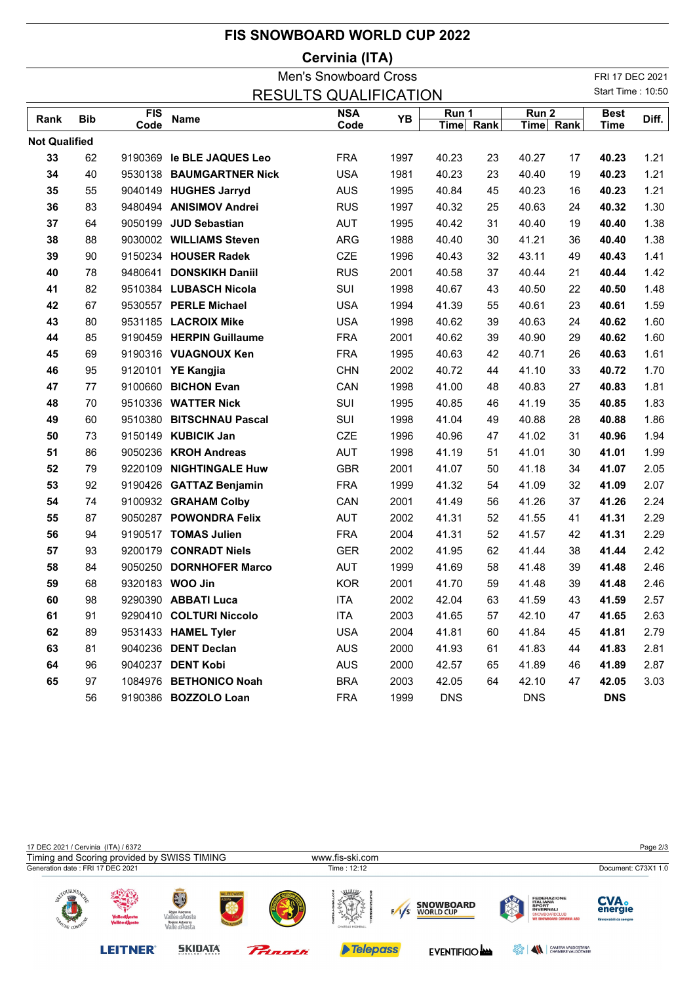|                                                              |                |      | <b>FIS SNOWBOARD WORLD CUP 2022</b> |            |      |            |    |            |    |                   |       |  |
|--------------------------------------------------------------|----------------|------|-------------------------------------|------------|------|------------|----|------------|----|-------------------|-------|--|
|                                                              | Cervinia (ITA) |      |                                     |            |      |            |    |            |    |                   |       |  |
| <b>Men's Snowboard Cross</b><br><b>RESULTS QUALIFICATION</b> |                |      |                                     |            |      |            |    |            |    | FRI 17 DEC 2021   |       |  |
|                                                              |                |      |                                     |            |      |            |    |            |    | Start Time: 10:50 |       |  |
| Rank                                                         | <b>Bib</b>     | FIS  | <b>Name</b>                         | <b>NSA</b> | YB   | Run 1      |    | Run 2      |    | <b>Best</b>       | Diff. |  |
|                                                              |                | Code |                                     | Code       |      | Time Rank  |    | Time Rank  |    | <b>Time</b>       |       |  |
| <b>Not Qualified</b>                                         |                |      |                                     |            |      |            |    |            |    |                   |       |  |
| 33                                                           | 62             |      | 9190369 le BLE JAQUES Leo           | <b>FRA</b> | 1997 | 40.23      | 23 | 40.27      | 17 | 40.23             | 1.21  |  |
| 34                                                           | 40             |      | 9530138 BAUMGARTNER Nick            | <b>USA</b> | 1981 | 40.23      | 23 | 40.40      | 19 | 40.23             | 1.21  |  |
| 35                                                           | 55             |      | 9040149 HUGHES Jarryd               | <b>AUS</b> | 1995 | 40.84      | 45 | 40.23      | 16 | 40.23             | 1.21  |  |
| 36                                                           | 83             |      | 9480494 ANISIMOV Andrei             | <b>RUS</b> | 1997 | 40.32      | 25 | 40.63      | 24 | 40.32             | 1.30  |  |
| 37                                                           | 64             |      | 9050199 JUD Sebastian               | <b>AUT</b> | 1995 | 40.42      | 31 | 40.40      | 19 | 40.40             | 1.38  |  |
| 38                                                           | 88             |      | 9030002 WILLIAMS Steven             | <b>ARG</b> | 1988 | 40.40      | 30 | 41.21      | 36 | 40.40             | 1.38  |  |
| 39                                                           | 90             |      | 9150234 HOUSER Radek                | CZE        | 1996 | 40.43      | 32 | 43.11      | 49 | 40.43             | 1.41  |  |
| 40                                                           | 78             |      | 9480641 DONSKIKH Daniil             | <b>RUS</b> | 2001 | 40.58      | 37 | 40.44      | 21 | 40.44             | 1.42  |  |
| 41                                                           | 82             |      | 9510384 LUBASCH Nicola              | SUI        | 1998 | 40.67      | 43 | 40.50      | 22 | 40.50             | 1.48  |  |
| 42                                                           | 67             |      | 9530557 PERLE Michael               | <b>USA</b> | 1994 | 41.39      | 55 | 40.61      | 23 | 40.61             | 1.59  |  |
| 43                                                           | 80             |      | 9531185 LACROIX Mike                | <b>USA</b> | 1998 | 40.62      | 39 | 40.63      | 24 | 40.62             | 1.60  |  |
| 44                                                           | 85             |      | 9190459 HERPIN Guillaume            | <b>FRA</b> | 2001 | 40.62      | 39 | 40.90      | 29 | 40.62             | 1.60  |  |
| 45                                                           | 69             |      | 9190316 VUAGNOUX Ken                | <b>FRA</b> | 1995 | 40.63      | 42 | 40.71      | 26 | 40.63             | 1.61  |  |
| 46                                                           | 95             |      | 9120101 YE Kangjia                  | <b>CHN</b> | 2002 | 40.72      | 44 | 41.10      | 33 | 40.72             | 1.70  |  |
| 47                                                           | 77             |      | 9100660 BICHON Evan                 | CAN        | 1998 | 41.00      | 48 | 40.83      | 27 | 40.83             | 1.81  |  |
| 48                                                           | 70             |      | 9510336 WATTER Nick                 | SUI        | 1995 | 40.85      | 46 | 41.19      | 35 | 40.85             | 1.83  |  |
| 49                                                           | 60             |      | 9510380 BITSCHNAU Pascal            | SUI        | 1998 | 41.04      | 49 | 40.88      | 28 | 40.88             | 1.86  |  |
| 50                                                           | 73             |      | 9150149 KUBICIK Jan                 | CZE        | 1996 | 40.96      | 47 | 41.02      | 31 | 40.96             | 1.94  |  |
| 51                                                           | 86             |      | 9050236 KROH Andreas                | <b>AUT</b> | 1998 | 41.19      | 51 | 41.01      | 30 | 41.01             | 1.99  |  |
| 52                                                           | 79             |      | 9220109 NIGHTINGALE Huw             | <b>GBR</b> | 2001 | 41.07      | 50 | 41.18      | 34 | 41.07             | 2.05  |  |
| 53                                                           | 92             |      | 9190426 GATTAZ Benjamin             | <b>FRA</b> | 1999 | 41.32      | 54 | 41.09      | 32 | 41.09             | 2.07  |  |
| 54                                                           | 74             |      | 9100932 GRAHAM Colby                | CAN        | 2001 | 41.49      | 56 | 41.26      | 37 | 41.26             | 2.24  |  |
| 55                                                           | 87             |      | 9050287 POWONDRA Felix              | <b>AUT</b> | 2002 | 41.31      | 52 | 41.55      | 41 | 41.31             | 2.29  |  |
| 56                                                           | 94             |      | 9190517 TOMAS Julien                | <b>FRA</b> | 2004 | 41.31      | 52 | 41.57      | 42 | 41.31             | 2.29  |  |
| 57                                                           | 93             |      | 9200179 CONRADT Niels               | <b>GER</b> | 2002 | 41.95      | 62 | 41.44      | 38 | 41.44             | 2.42  |  |
| 58                                                           | 84             |      | 9050250 DORNHOFER Marco             | <b>AUT</b> | 1999 | 41.69      | 58 | 41.48      | 39 | 41.48             | 2.46  |  |
| 59                                                           | 68             |      | 9320183 WOO Jin                     | <b>KOR</b> | 2001 | 41.70      | 59 | 41.48      | 39 | 41.48             | 2.46  |  |
| 60                                                           | 98             |      | 9290390 ABBATI Luca                 | ITA        | 2002 | 42.04      | 63 | 41.59      | 43 | 41.59             | 2.57  |  |
| 61                                                           | 91             |      | 9290410 COLTURI Niccolo             | <b>ITA</b> | 2003 | 41.65      | 57 | 42.10      | 47 | 41.65             | 2.63  |  |
| 62                                                           | 89             |      | 9531433 HAMEL Tyler                 | <b>USA</b> | 2004 | 41.81      | 60 | 41.84      | 45 | 41.81             | 2.79  |  |
| 63                                                           | 81             |      | 9040236 DENT Declan                 | <b>AUS</b> | 2000 | 41.93      | 61 | 41.83      | 44 | 41.83             | 2.81  |  |
| 64                                                           | 96             |      | 9040237 DENT Kobi                   | <b>AUS</b> | 2000 | 42.57      | 65 | 41.89      | 46 | 41.89             | 2.87  |  |
| 65                                                           | 97             |      | 1084976 BETHONICO Noah              | <b>BRA</b> | 2003 | 42.05      | 64 | 42.10      | 47 | 42.05             | 3.03  |  |
|                                                              | 56             |      | 9190386 BOZZOLO Loan                | <b>FRA</b> | 1999 | <b>DNS</b> |    | <b>DNS</b> |    | <b>DNS</b>        |       |  |